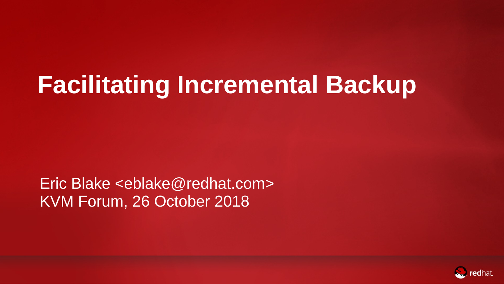# **Facilitating Incremental Backup**

Eric Blake <eblake@redhat.com> KVM Forum, 26 October 2018



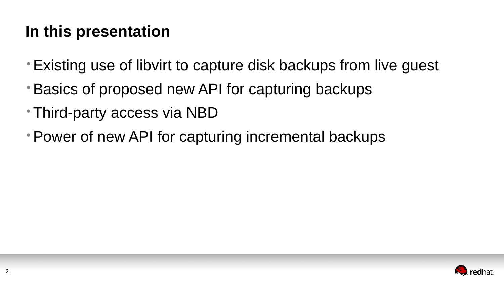### **In this presentation**

- •Existing use of libvirt to capture disk backups from live guest
- •Basics of proposed new API for capturing backups
- Third-party access via NBD
- •Power of new API for capturing incremental backups

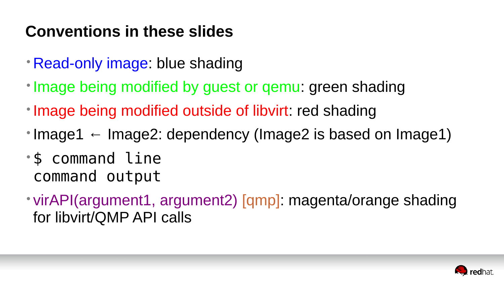### **Conventions in these slides**

- Read-only image: blue shading
- Image being modified by guest or gemu: green shading
- Image being modified outside of libvirt: red shading
- Image1  $\leftarrow$  Image2: dependency (Image2 is based on Image1)
- \$ command line command output
- for libvirt/QMP API calls

# • virAPI(argument1, argument2) [qmp]: magenta/orange shading

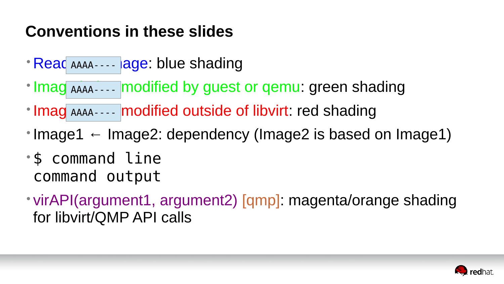### **Conventions in these slides**

- Read AAAA - - lage: blue shading
- Imag AAAA---- modified by guest or qemu: green shading
- Imag AAAA---- modified outside of libvirt: red shading
- Image1  $\leftarrow$  Image2: dependency (Image2 is based on Image1)
- \$ command line command output
- for libvirt/QMP API calls

# • virAPI(argument1, argument2) [qmp]: magenta/orange shading

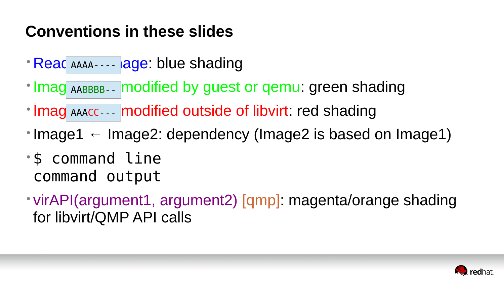### **Conventions in these slides**

- Read AAAA - - lage: blue shading
- Imag AABBBB-- modified by guest or qemu: green shading
- Imag AAACC --- modified outside of libvirt: red shading
- Image1  $\leftarrow$  Image2: dependency (Image2 is based on Image1)
- \$ command line command output
- for libvirt/QMP API calls

# • virAPI(argument1, argument2) [qmp]: magenta/orange shading

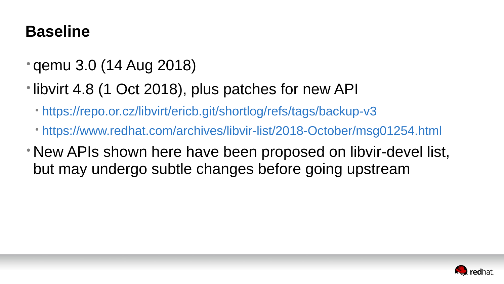#### **Baseline**

- qemu 3.0 (14 Aug 2018)
- libvirt 4.8 (1 Oct 2018), plus patches for new API
	- https://repo.or.cz/libvirt/ericb.git/shortlog/refs/tags/backup-v3
	- https://www.redhat.com/archives/libvir-list/2018-October/msg01254.html
- New APIs shown here have been proposed on libvir-devel list, but may undergo subtle changes before going upstream

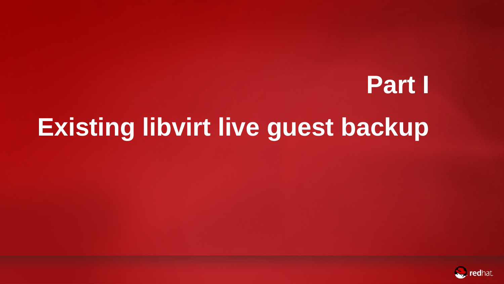# **Part I [Existing libvirt live guest backup](https://www.redhat.com/archives/libvir-list/2018-October/msg01254.html)**



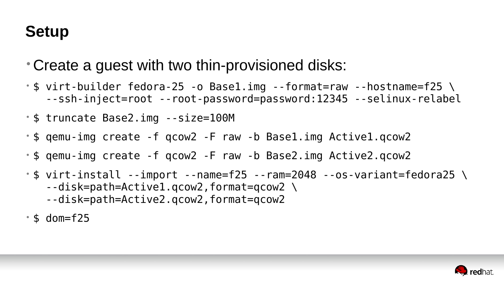#### **Setup**

- Create a guest with two thin-provisioned disks:
- 
- \$ truncate Base2.img --size=100M
- \$ qemu-img create -f qcow2 -F raw -b Base1.img Active1.qcow2
- \$ qemu-img create -f qcow2 -F raw -b Base2.img Active2.qcow2
- $\frac{1}{2}$  virt-install --import --name=f25 --ram=2048 --os-variant=fedora25 \ --disk=path=Active1.qcow2,format=qcow2 \ --disk=path=Active2.qcow2,format=qcow2
- $\cdot$  \$ dom=f25

•  $\frac{1}{2}$  virt-builder fedora-25 -o Base1.img --format=raw --hostname=f25 \ --ssh-inject=root --root-password=password:12345 --selinux-relabel

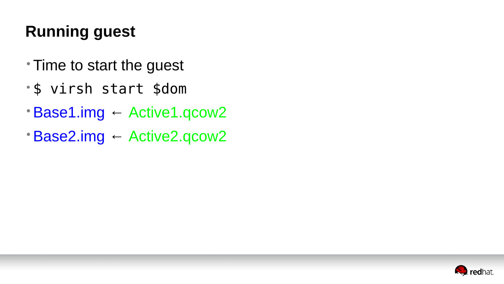# **Running guest**

- Time to start the guest
- \$ virsh start \$dom
- •Base1.img ← Active1.qcow2
- •Base2.img ← Active2.qcow2

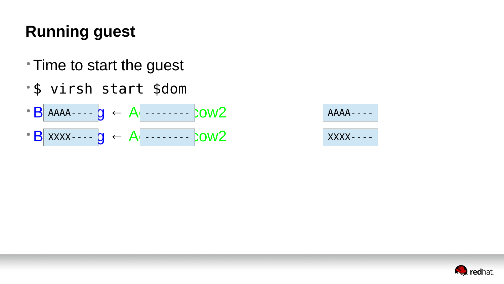# **Running guest**

- Time to start the guest
- \$ virsh start \$dom



#### $AAAA---$

#### XXXX----

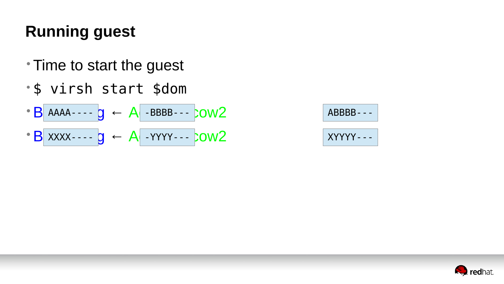# **Running guest**

- Time to start the guest
- \$ virsh start \$dom

 $\cdot$  B AAAA----  $g \leftarrow A$  -BBBB---  $1.0002$ • B xxxx - - - - g ← A - YYYY- - - bow2  $AAAA-- Q$   $\leftarrow$   $A$   $-BBBB---$ 

#### ABBBB---

#### XYYYY---

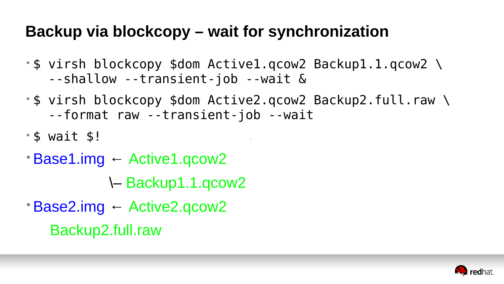

### **Backup via blockcopy – wait for synchronization**

- \$ virsh blockcopy \$dom Active1.qcow2 Backup1.1.qcow2 \ --shallow --transient-job --wait &
- \$ virsh blockcopy \$dom Active2.qcow2 Backup2.full.raw \ --format raw --transient-job --wait
- \$ wait \$!
- •Base1.img ← Active1.qcow2 \– Backup1.1.qcow2
- •Base2.img ← Active2.qcow2 Backup2.full.raw

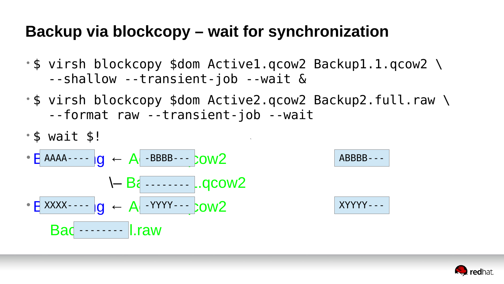### **Backup via blockcopy – wait for synchronization**

- \$ virsh blockcopy \$dom Active1.qcow2 Backup1.1.qcow2 \ --shallow --transient-job --wait &
- \$ virsh blockcopy \$dom Active2.qcow2 Backup2.full.raw \ --format raw --transient-job --wait

• \$ wait \$!

$$
\begin{array}{rcl}\n\cdot & \text{BAAA} & \cdots & \text{IG} \\
\cdot & \text{A} & \text{BBBB} & \cdots & \text{OW2} \\
\cdot & \text{B} & \cdots & \cdots & \text{Q} & \text{OW2} \\
\cdot & \text{B} & \cdots & \text{S} & \text{OW2} \\
\end{array}
$$

$$
ABBB--
$$

$$
XYYYY---
$$

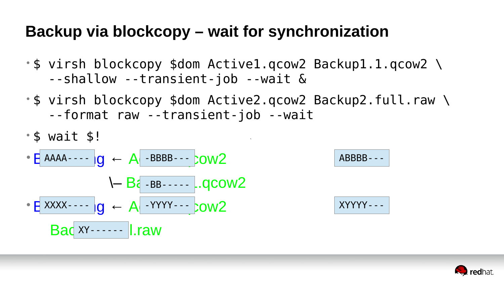### **Backup via blockcopy – wait for synchronization**

- \$ virsh blockcopy \$dom Active1.qcow2 Backup1.1.qcow2 \ --shallow --transient-job --wait &
- \$ virsh blockcopy \$dom Active2.qcow2 Backup2.full.raw \ --format raw --transient-job --wait

- \$ wait \$!
- $\cdot$  E AAAA----  $|g \leftarrow A$  -BBBB---  $10$  $B<sub>i</sub>$  -BB-----  $-$ .qcow2 •Base2.img ← Active2.qcow2 XXXX---- -YYYY--- Bac XY------ | raw XY------

$$
ABBB--
$$

$$
XYYYY---
$$

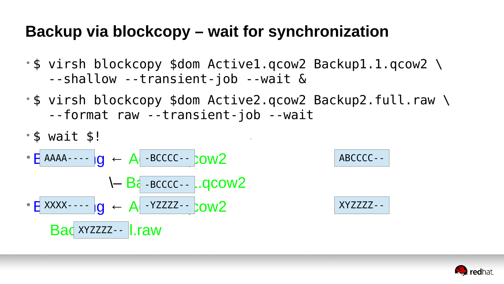### **Backup via blockcopy – wait for synchronization**

- \$ virsh blockcopy \$dom Active1.qcow2 Backup1.1.qcow2 \ --shallow --transient-job --wait &
- \$ virsh blockcopy \$dom Active2.qcow2 Backup2.full.raw \ --format raw --transient-job --wait

• \$ wait \$!

\n- $$
E
$$
 AAAA--- $|g \leftarrow A$ -BCCC--- $1$ OW2
\n- $E$  XXXX--- $|g \leftarrow A$ -YZZZ--- $1$ OW2
\n- $Bac$  XYZZZ--- $1$ raw
\n

#### ABCCCC--

$$
XYZZZZ--
$$

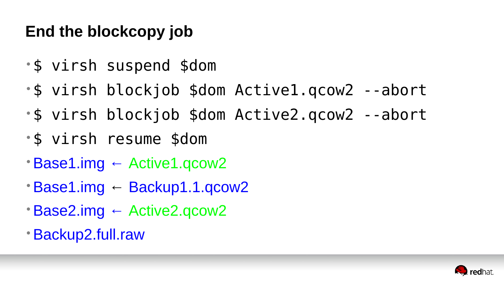## **End the blockcopy job**

- \$ virsh suspend \$dom
- \$ virsh blockjob \$dom Active1.qcow2 --abort
- \$ virsh blockjob \$dom Active2.qcow2 --abort
- \$ virsh resume \$dom
- •Base1.img ← Active1.qcow2
- •Base1.img ← Backup1.1.qcow2
- •Base2.img ← Active2.qcow2
- •Backup2.full.raw



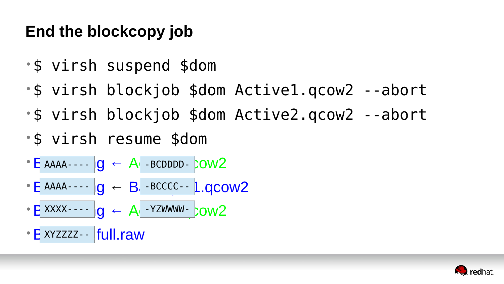## **End the blockcopy job**

- \$ virsh suspend \$dom
- \$ virsh blockjob \$dom Active1.qcow2 --abort
- \$ virsh blockjob \$dom Active2.qcow2 --abort
- \$ virsh resume \$dom
- E AAAA---- 1g ← A -BCDDDD- COW2
- $\bullet$  E AAAA----  $|0 \leftarrow B|$  -BCCCC-- 1.0COW2 AAAA---- -BCCCC--
- E XXXX---- Ig ← A -YZWWWW- bow2
- E xyzzzz - |full.raw XYZZZZ--



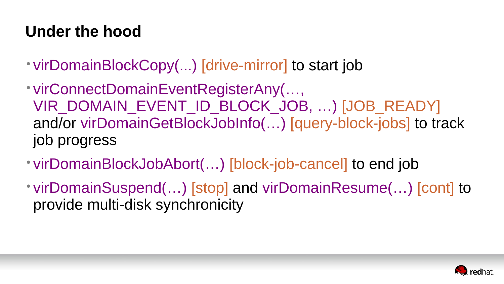### **Under the hood**

# VIR DOMAIN EVENT ID\_BLOCK\_JOB, ...) [JOB\_READY] and/or virDomainGetBlockJobInfo(…) [query-block-jobs] to track

- virDomainBlockCopy(...) [drive-mirror] to start job
- virConnectDomainEventRegisterAny(…, job progress
- virDomainBlockJobAbort(…) [block-job-cancel] to end job
- provide multi-disk synchronicity

• virDomainSuspend(…) [stop] and virDomainResume(…) [cont] to

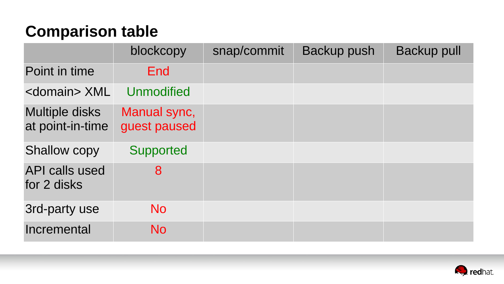### **Comparison table**

|                                           | blockcopy                    | snap/commit | Backup push | <b>Backup pull</b> |
|-------------------------------------------|------------------------------|-------------|-------------|--------------------|
| Point in time                             | End                          |             |             |                    |
| <domain> XML</domain>                     | Unmodified                   |             |             |                    |
| <b>Multiple disks</b><br>at point-in-time | Manual sync,<br>guest paused |             |             |                    |
| <b>Shallow copy</b>                       | Supported                    |             |             |                    |
| <b>API calls used</b><br>for 2 disks      | 8                            |             |             |                    |
| <b>3rd-party use</b>                      | N <sub>O</sub>               |             |             |                    |
| Incremental                               | N <sub>O</sub>               |             |             |                    |

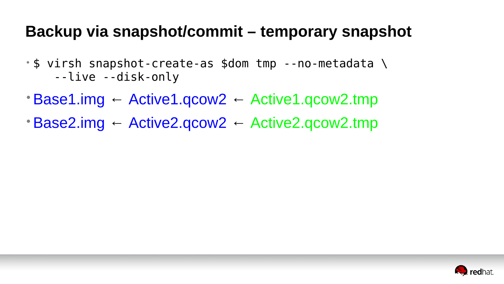#### **Backup via snapshot/commit – temporary snapshot**

- \$ virsh snapshot-create-as \$dom tmp --no-metadata \ --live --disk-only
- •Base1.img ← Active1.qcow2 ← Active1.qcow2.tmp
- •Base2.img ← Active2.qcow2 ← Active2.qcow2.tmp

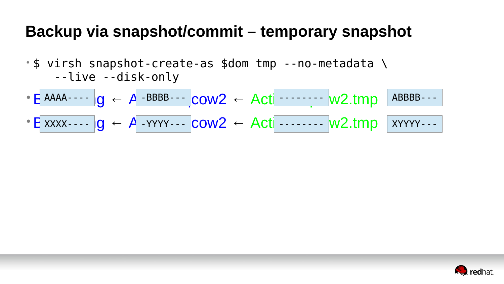#### **Backup via snapshot/commit – temporary snapshot**

- \$ virsh snapshot-create-as \$dom tmp --no-metadata \ --live --disk-only
- E AAAA----  $\vert g \vert \leftarrow A$  -BBBB---  $\vert \text{cow2} \leftarrow \text{Act} \vert$  ------- w2.tmp
- E xxxx----  $\lg \leftarrow A$  -YYYY---  $\text{cow2} \leftarrow \text{Act}$  ------- W2.tmp

-------- -------- ABBBB--- XYYYY---

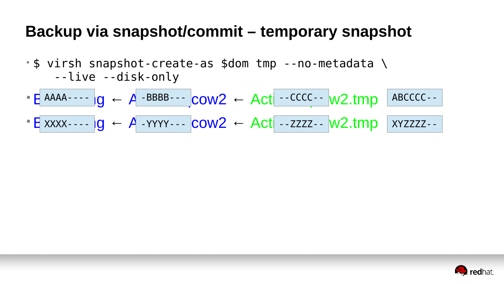#### **Backup via snapshot/commit – temporary snapshot**

- \$ virsh snapshot-create-as \$dom tmp --no-metadata \ --live --disk-only
- $\bullet$  E AAAA----  $\vert g \vert \leftarrow A$  -BBBB---  $\vert \text{conv2} \leftarrow \text{Act} \vert$  --CCCC--  $\vert w2.\text{tmp} \vert$
- E xxxx----  $\left| g \leftarrow A$  -YYYY---  $\left| \text{conv2 } \leftarrow \text{Act} \right|$  --ZZZZ--  $\left| w2.\text{tmp} \right|$

--CCCC-- --ZZZZ-- ABCCCC-- XYZZZZ--

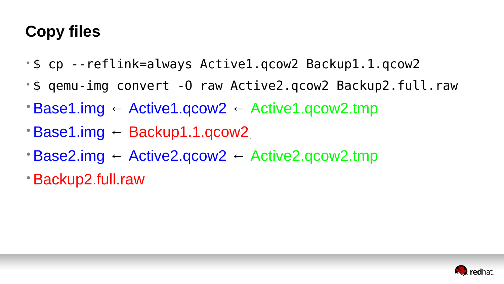- \$ cp --reflink=always Active1.qcow2 Backup1.1.qcow2 • \$ qemu-img convert -O raw Active2.qcow2 Backup2.full.raw  $\cdot$  Base1.img ← Active1.qcow2 ← Active1.qcow2.tmp
- 

 $\ddot{\phantom{0}}$ 

## **Copy files**

- 
- •Base1.img ← Backup1.1.qcow2
- •Base2.img ← Active2.qcow2 ← Active2.qcow2.tmp
- •Backup2.full.raw

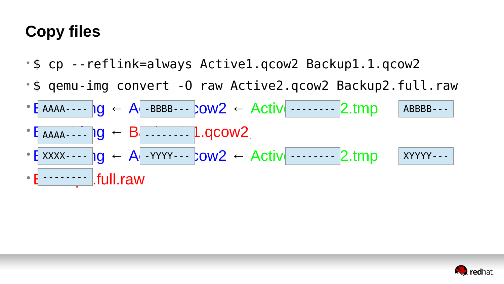- \$ cp --reflink=always Active1.qcow2 Backup1.1.qcow2
- 
- E AAAA----  $\log$  ← A -BBBB---  $\text{row2}$  ← Active ------- 2.tmp
- $\bullet$   $\bullet$  AAAA----  $\bullet$  Ig ← B ------- 1.qcow2
- Exxxx----  $\lg \leftarrow A$  -YYYY---  $\text{row2} \leftarrow \text{Activity}$  ------- 2.tmp  $\begin{array}{ccc} \text{XXX}\text{-}\text{-}\text{-}\text{-}\text{N} & \text{N} & \text{N} & \text{N} & \text{N} & \text{N} & \text{N} & \text{N} & \text{N} & \text{N} & \text{N} & \text{N} & \text{N} & \text{N} & \text{N} & \text{N} & \text{N} & \text{N} & \text{N} & \text{N} & \text{N} & \text{N} & \text{N} & \text{N} & \text{N} & \text{N} & \text{N} & \text{N} & \text{N} & \text{N} & \text{N} & \text{N} & \text{N}$
- $\cdot$  E -------  $\blacksquare$ .full.raw

### **Copy files**

# $\ddot{\phantom{0}}$ • \$ qemu-img convert -O raw Active2.qcow2 Backup2.full.raw  $A$ A $A$ ----  $Q \leftarrow A$  -BBBB---  $COWZ \leftarrow ACIIV$  -------  $Z.tmp$  ABBBB---XYYYY---

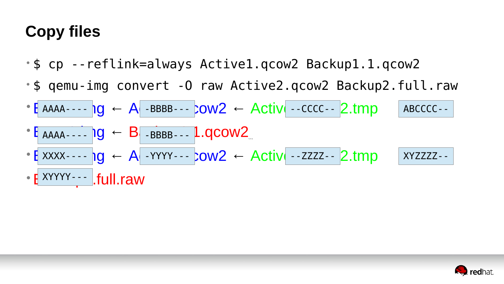### **Copy files**

- $\ddot{\phantom{0}}$ • \$ cp --reflink=always Active1.qcow2 Backup1.1.qcow2 • E AAAA----  $\log$  ← A -BBBB---  $\text{row2}$  ← Active --CCCC-- 2.tmp  $\bullet$   $\bullet$  AAAA----  $\bullet$   $\bullet$  B  $\bullet$  -BBBB--- 1.qcow2  $A$  -BBBB---  $\text{row2} \leftarrow \text{Activity} \leftarrow \text{CCCC} \leftarrow \text{2} \cdot \text{imp}$  ABCCCC--
- 
- 
- \$ qemu-img convert -O raw Active2.qcow2 Backup2.full.raw
- Exxxx----  $\log$  ← A YYYY---  $\text{row2}$  ← Active -- Zzzz-- 2.tmp XXXX---- 10 ← A -YYYY--- COW2 ← ACTIVI --ZZZZ--
- E XYYYY--- Full.raw



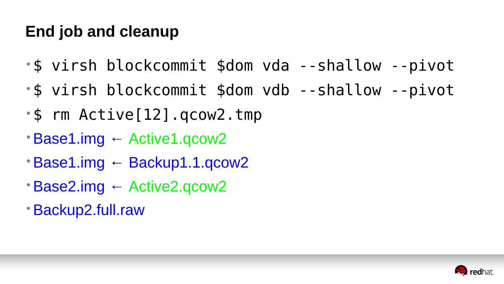### **End job and cleanup**

- \$ virsh blockcommit \$dom vda --shallow --pivot • \$ virsh blockcommit \$dom vdb --shallow --pivot • \$ rm Active[12].qcow2.tmp
- 
- 
- •Base1.img ← Active1.qcow2
- •Base1.img ← Backup1.1.qcow2
- •Base2.img ← Active2.qcow2
- •Backup2.full.raw

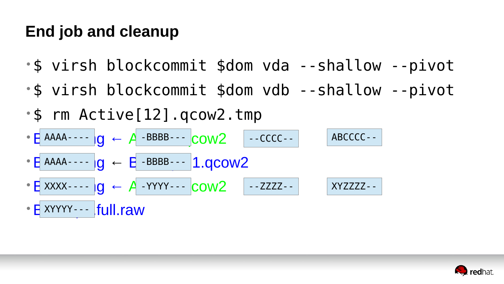#### **End job and cleanup**

- 
- 
- \$ virsh blockcommit \$dom vda --shallow --pivot • \$ virsh blockcommit \$dom vdb --shallow --pivot • \$ rm Active[12].qcow2.tmp
- $\bullet$   $\rightarrow$  A  $\rightarrow$  A  $\rightarrow$  BBBB---  $\rightarrow$  COW2 --CCCC-- ABCCCC--
- $\bullet$  E AAAA----  $\circ$   $\bullet$  B BBBB---  $\circ$  1.qcow2 AAAA---- -BBBB---
- $\bullet$  E XXXX----  $\log$  ← A -YYYYY---  $\text{conv2}$  $XXX---- 0 \leftarrow A - YYY--$   $COMZ$   $-- ZZZZ--$   $XYZZZZ--$
- E XYYYY--- |full.raw



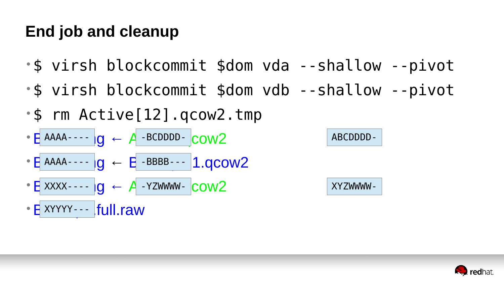#### **End job and cleanup**

- 
- 
- \$ virsh blockcommit \$dom vda --shallow --pivot • \$ virsh blockcommit \$dom vdb --shallow --pivot • \$ rm Active[12].qcow2.tmp
- $A = A + B = B = B$  +  $A B = B = B$  +  $B = B$
- $\bullet$  E AAAA----  $\circ$   $\bullet$  B BBBB---  $\circ$  1.qcow2 AAAA---- -BBBB---
- E xxxx - - | g ← A YZWWWW- COW2  $XXX - - - 10 \leftarrow A - YZWWW - COW2$  XYZWWWW-
- E XYYYY--- |full.raw

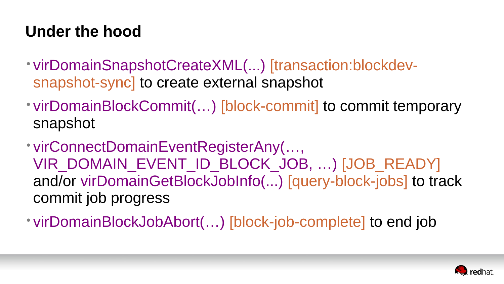#### **Under the hood**

VIR DOMAIN EVENT ID BLOCK\_JOB, ...) [JOB\_READY] and/or virDomainGetBlockJobInfo(...) [query-block-jobs] to track



- virDomainSnapshotCreateXML(...) [transaction:blockdevsnapshot-sync] to create external snapshot
- snapshot
- virConnectDomainEventRegisterAny(…, commit job progress

• virDomainBlockJobAbort(...) [block-job-complete] to end job

• virDomainBlockCommit(...) [block-commit] to commit temporary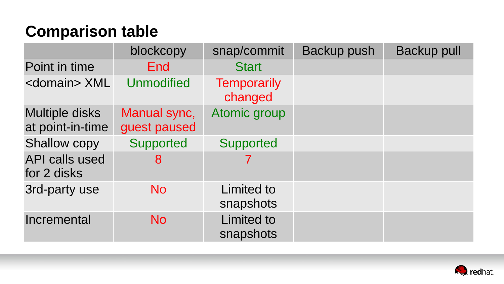### **Comparison table**

|                                           | blockcopy                    | snap/commit                    | <b>Backup push</b> | <b>Backup pull</b> |
|-------------------------------------------|------------------------------|--------------------------------|--------------------|--------------------|
| Point in time                             | <b>End</b>                   | <b>Start</b>                   |                    |                    |
| <domain> XML</domain>                     | Unmodified                   | <b>Temporarily</b><br>changed  |                    |                    |
| <b>Multiple disks</b><br>at point-in-time | Manual sync,<br>guest paused | Atomic group                   |                    |                    |
| <b>Shallow copy</b>                       | Supported                    | Supported                      |                    |                    |
| API calls used<br>for 2 disks             | 8                            |                                |                    |                    |
| 3rd-party use                             | <b>No</b>                    | Limited to<br>snapshots        |                    |                    |
| Incremental                               | <b>No</b>                    | <b>Limited to</b><br>snapshots |                    |                    |

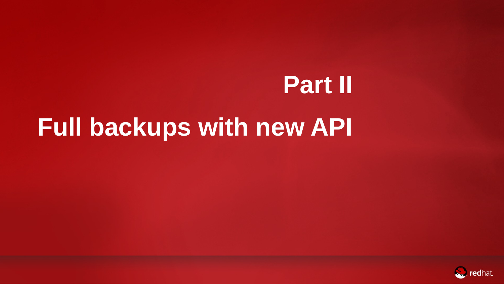**Part II**





# **Full backups with new API**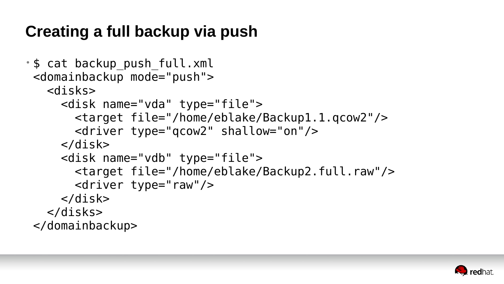### **Creating a full backup via push**

• \$ cat backup\_push\_full.xml <domainbackup mode="push"> <disks> <disk name="vda" type="file"> <target file="/home/eblake/Backup1.1.qcow2"/> <driver type="qcow2" shallow="on"/> </disk> <disk name="vdb" type="file"> <target file="/home/eblake/Backup2.full.raw"/> <driver type="raw"/> </disk> </disks> </domainbackup>

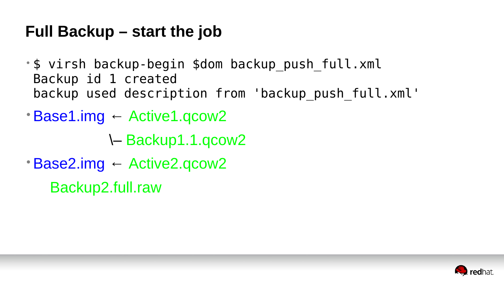- \$ virsh backup-begin \$dom backup\_push\_full.xml Backup id 1 created backup used description from 'backup push full.xml'
- Base1.img ← Active1.qcow2
	- \– Backup1.1.qcow2
- •Base2.img ← Active2.qcow2 Backup2.full.raw

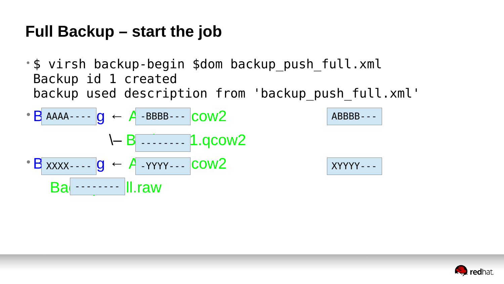• \$ virsh backup-begin \$dom backup\_push\_full.xml Backup id 1 created backup used description from 'backup push full.xml'

$$
\begin{array}{rcl}\n\cdot B \text{ AAAA} & -\cdot B & & -\text{BBBB} \\
 & -\cdot B & -\cdot -\cdot -\cdot B \cdot \text{Q} \\
\cdot B \text{ XXX} & -\cdot B & -\cdot -\cdot -\cdot B \cdot \text{Q} \\
\cdot B \text{ AXX} & -\cdot B & -\cdot -\cdot B \cdot \text{Q} \\
\cdot B \text{A} & -\cdot B & -\cdot B \cdot \text{Q} \\
\cdot B \text{A} & -\cdot B & -\cdot B \cdot \text{Q} \\
\cdot B \text{A} & -\cdot B & -\cdot B \cdot \text{Q} \\
\cdot B \text{A} & -\cdot B & -\cdot B \cdot \text{Q} \\
\cdot B \text{A} & -\cdot B & -\cdot B \cdot \text{Q} \\
\cdot B \text{A} & -\cdot B & -\cdot B \cdot \text{Q} \\
\cdot B \text{A} & -\cdot B & -\cdot B \cdot \text{Q} \\
\cdot B \text{A} & -\cdot B & -\cdot B \cdot \text{Q} \\
\cdot B \text{A} & -\cdot B & -\cdot B \cdot \text{Q} \\
\cdot B \text{A} & -\cdot B & -\cdot B \cdot \text{Q} \\
\cdot B \text{A} & -\cdot B & -\cdot B \cdot \text{Q} \\
\cdot B \text{A} & -\cdot B & -\cdot B \cdot \text{Q} \\
\cdot B \text{A} & -\cdot B & -\cdot B \cdot \text{Q} \\
\cdot B \text{A} & -\cdot B & -\cdot B \cdot \text{Q} \\
\cdot B \text{A} & -\cdot B & -\cdot B \cdot \text{Q} \\
\cdot B \text{A} & -\cdot B & -\cdot B \cdot \text{Q} \\
\cdot C \text{B} & -\cdot B & -\cdot B \cdot \text{Q} \\
\cdot C \text{B} & -\cdot B & -\cdot B \cdot \text{Q} \\
\cdot C \text{B} & -\cdot B & -\cdot B \cdot \text{Q} \\
\cdot C \text{B} & -\cdot B & -\cdot B \cdot \text{Q} \\
\cdot C \text{C} & -\cdot B & -\cdot B \
$$

ABBBB---

XYYYY---

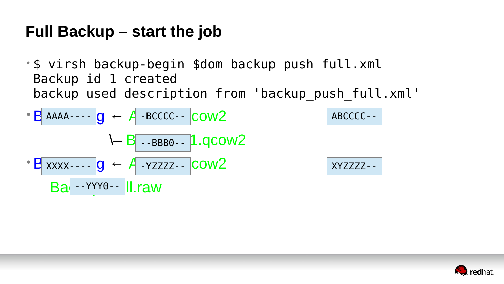• \$ virsh backup-begin \$dom backup\_push\_full.xml Backup id 1 created backup used description from 'backup push full.xml'

$$
\begin{array}{rcl}\n\cdot B \text{ AAAA} & - - & \cdot B \text{ BACCC} \\
\cdot B & - & \cdot B \text{ BBA} \\
\cdot B & - & \cdot B \text{ BBA} \\
\cdot B & - & \cdot B \text{ BBA} \\
\cdot B & - & \cdot Y \text{ Y70} \\
\cdot B & - & \cdot Y \text{ Y80} \\
\cdot B & - & \cdot Y \text{ Y80} \\
\cdot B & - & \cdot Y \text{ Y80} \\
\cdot B & - & \cdot Y \text{ Y80} \\
\cdot B & - & \cdot Y \text{ Y80} \\
\cdot B & - & \cdot Y \text{ Y80} \\
\cdot B & - & \cdot Y \text{ Y80} \\
\cdot B & - & \cdot Y \text{ Y80} \\
\cdot B & - & \cdot Y \text{ Y80} \\
\cdot B & - & \cdot Y \text{ Y80} \\
\cdot B & - & \cdot Y \text{ Y80} \\
\cdot B & - & \cdot Y \text{ Y80} \\
\cdot B & - & \cdot Y \text{ Y80} \\
\cdot B & - & \cdot Y \text{ Y80} \\
\cdot C & - & \cdot Y \text{ S00} \\
\cdot C & - & \cdot Y \text{ S00} \\
\cdot C & - & \cdot Y \text{ S00} \\
\cdot C & - & \cdot Y \text{ S00} \\
\cdot C & - & \cdot Y \text{ S00} \\
\cdot D & - & \cdot Y \text{ S00} \\
\cdot D & - & \cdot Y \text{ S00} \\
\cdot D & - & \cdot Y \text{ S00} \\
\cdot D & - & \cdot Y \text{ S00} \\
\cdot D & - & \cdot Y \text{ S00} \\
\cdot D & - & \cdot Y \text{ S00} \\
\cdot D & - & \cdot Y \text{ S00} \\
\cdot D & - & \cdot Y \text{ S00} \\
\cdot D & - & \cdot Y \text{ S00} \\
\cdot D & - & \cdot Y \text{ S00} \\
\cdot E & - & \cdot Y \text{ S00} \\
\cdot E & - & \cdot
$$

#### ABCCCC--

#### XYZZZZ--

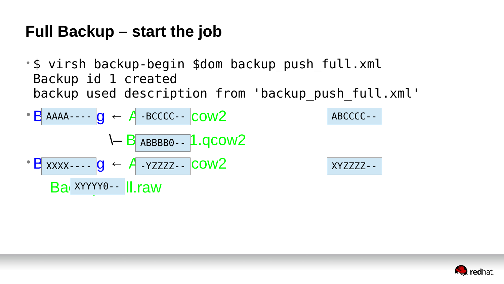• \$ virsh backup-begin \$dom backup\_push\_full.xml Backup id 1 created backup used description from 'backup push full.xml'

$$
\begin{array}{rcl}\n\cdot B \text{ AAAA} & - & - & - & B \text{ CCCC} - & \text{COW2} \\
\downarrow & - & B \text{ ABBBB0} - & 1.9 \text{COW2} \\
\cdot B \text{ XXX} & - & - & 9 \\
\hline\n\text{BA } \text{XYYYY0} & - & \text{II } \text{raw}\n\end{array}
$$

#### ABCCCC--

#### XYZZZZ--

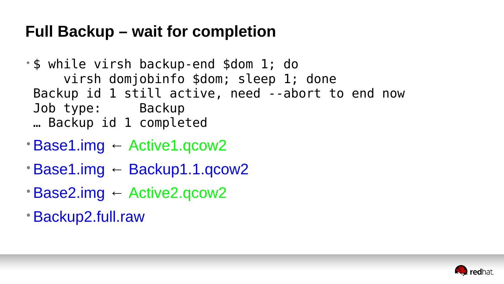#### **Full Backup – wait for completion**

- \$ while virsh backup-end \$dom 1; do virsh domjobinfo \$dom; sleep 1; done Backup id 1 still active, need --abort to end now Job type: Backup … Backup id 1 completed
- •Base1.img ← Active1.qcow2
- •Base1.img ← Backup1.1.qcow2
- •Base2.img ← Active2.qcow2
- •Backup2.full.raw



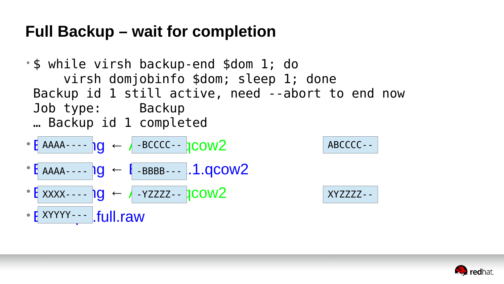#### **Full Backup – wait for completion**

- \$ while virsh backup-end \$dom 1; do virsh domjobinfo \$dom; sleep 1; done Backup id 1 still active, need --abort to end now Job type: Backup … Backup id 1 completed
- $\cdot$  E AAAA----  $\log$  ← A -BCCCC--  $\gamma$ COW2  $AAAA-- \overline{O}$   $\leftarrow$   $\overline{O}$  -BCCCC--
- $\cdot$  E AAAA----  $log$  ← E -BBBB---  $1.9$ COW2
- $\cdot$  E XXXX----  $\log$  ← A-YZZZZ--  $\text{ICOW2}$
- E XYYYY--- | full.raw

#### ABCCCC--



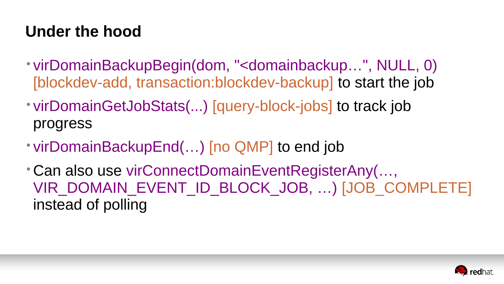#### **Under the hood**

- virDomainBackupBegin(dom, "<domainbackup…", NULL, 0) [blockdev-add, transaction:blockdev-backup] to start the job
- virDomainGetJobStats(...) [query-block-jobs] to track job progress
- virDomainBackupEnd(...) [no QMP] to end job
- Can also use virConnectDomainEventRegisterAny(…, instead of polling

VIR DOMAIN EVENT ID BLOCK\_JOB, ...) [JOB\_COMPLETE]

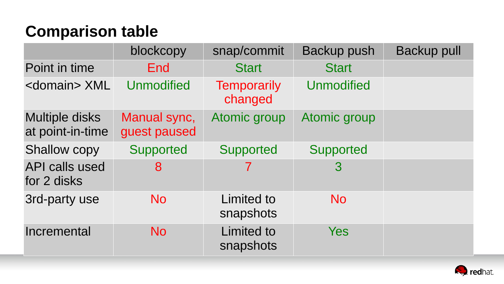### **Comparison table**

|                                      | blockcopy                    | snap/commit                    | <b>Backup push</b> | <b>Backup pull</b> |
|--------------------------------------|------------------------------|--------------------------------|--------------------|--------------------|
| Point in time                        | End                          | <b>Start</b>                   | <b>Start</b>       |                    |
| <domain> XML</domain>                | Unmodified                   | <b>Temporarily</b><br>changed  | Unmodified         |                    |
| Multiple disks<br>at point-in-time   | Manual sync,<br>guest paused | Atomic group                   | Atomic group       |                    |
| <b>Shallow copy</b>                  | Supported                    | Supported                      | Supported          |                    |
| <b>API calls used</b><br>for 2 disks |                              |                                |                    |                    |
| 3rd-party use                        | <b>No</b>                    | Limited to<br>snapshots        | <b>No</b>          |                    |
| Incremental                          | <b>NO</b>                    | <b>Limited to</b><br>snapshots | Yes                |                    |

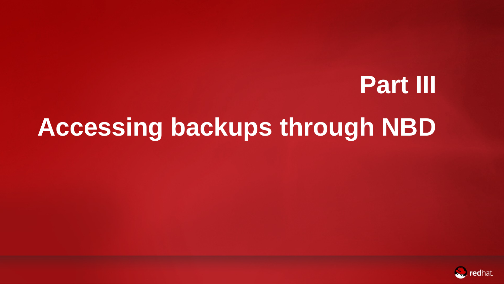# **Part III Accessing backups through NBD**



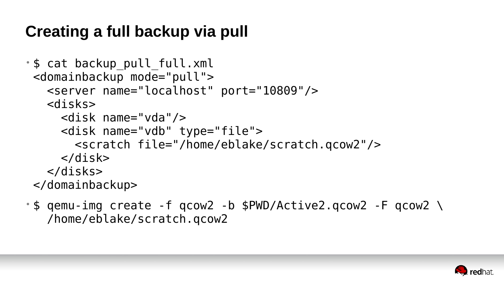#### **Creating a full backup via pull**

• \$ cat backup\_pull\_full.xml <domainbackup mode="pull"> <server name="localhost" port="10809"/> <disks> <disk name="vda"/> <disk name="vdb" type="file"> <scratch file="/home/eblake/scratch.qcow2"/> </disk> </disks> </domainbackup>

• \$ qemu-img create -f qcow2 -b \$PWD/Active2.qcow2 -F qcow2 \ /home/eblake/scratch.qcow2



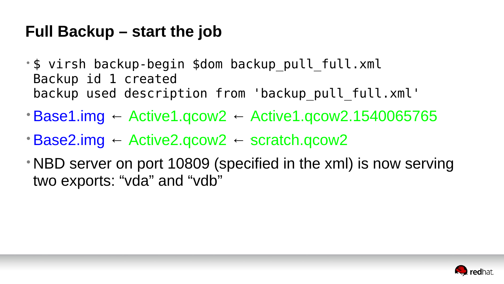#### **Full Backup – start the job**

- \$ virsh backup-begin \$dom backup\_pull\_full.xml Backup id 1 created backup used description from 'backup pull full.xml'
- $\cdot$  Base1.img ← Active1.qcow2 ← Active1.qcow2.1540065765
- ` •Base2.img ← Active2.qcow2 ← scratch.qcow2
- NBD server on port 10809 (specified in the xml) is now serving two exports: "vda" and "vdb"

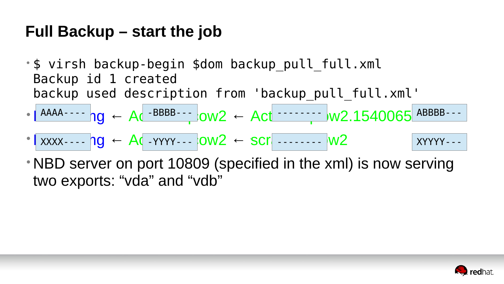#### **Full Backup – start the job**

- \$ virsh backup-begin \$dom backup\_pull\_full.xml Backup id 1 created
- backup used description from 'backup pull full.xml' •Base1.img ← Active1.qcow2 ← Active1.qcow2.1540065765 AAAA---- -BBBB--- -------- ABBBB---
- `  $\bullet$  XXXX----  $\log$  ← Active YYYY---  $\log^2$  ← scratch.com  $\log^2$  XYYYY---
- NBD server on port 10809 (specified in the xml) is now serving two exports: "vda" and "vdb"

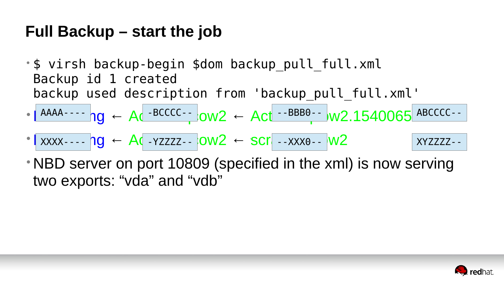#### **Full Backup – start the job**

- \$ virsh backup-begin \$dom backup\_pull\_full.xml Backup id 1 created
- backup used description from 'backup pull full.xml'  $\bullet$  | AAAA----  $\text{ng } \leftarrow \text{Ac}$  -BCCCC--  $\text{low2 } \leftarrow \text{Act}$  --BBB0--  $\text{uv2.1540065}$  ABCCCC--
- `  $\bullet$  XXXX----  $\log$  ← Activezzz--  $\log^2$  ← scratch.xxx0-- W2 xyzzzz--
- NBD server on port 10809 (specified in the xml) is now serving two exports: "vda" and "vdb"

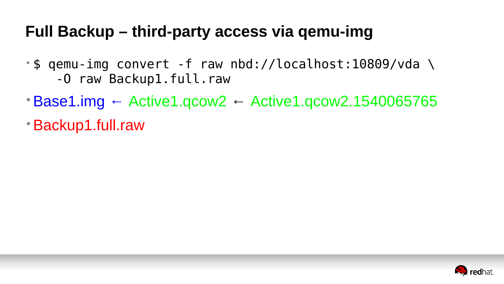- \$ qemu-img convert -f raw nbd://localhost:10809/vda \ -O raw Backup1.full.raw
- $\cdot$  Base1.img ← Active1.qcow2 ← Active1.qcow2.1540065765
- •Backup1.full.raw

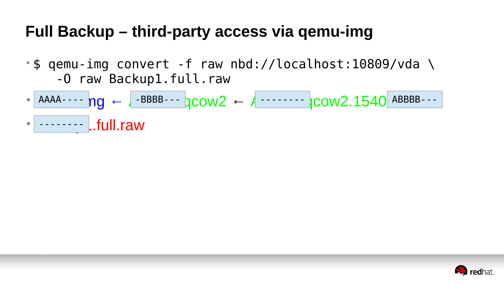- \$ qemu-img convert -f raw nbd://localhost:10809/vda \ -O raw Backup1.full.raw
- AAAA----  $ng \leftarrow$  -BBBB---  $qcow2 \leftarrow$  Active 1.540 ABBBB---
- •Backup1.full.raw --------

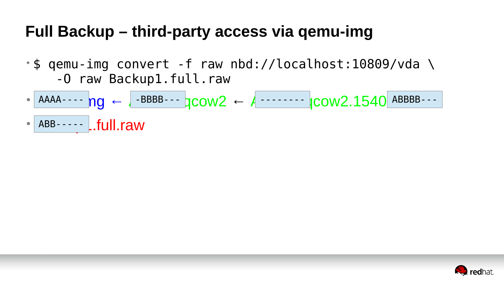- \$ qemu-img convert -f raw nbd://localhost:10809/vda \ -O raw Backup1.full.raw
- 
- ABB----- L.full.raw

• AAAA----  $ng \leftarrow$  -BBBB---  $qcow2 \leftarrow$  Active 1.540 ABBBB---

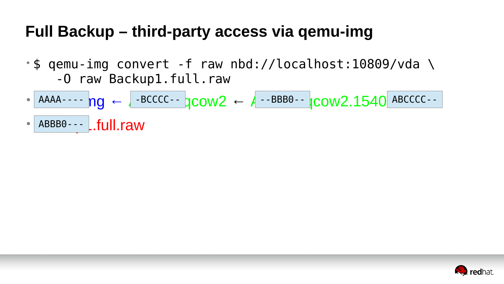- \$ qemu-img convert -f raw nbd://localhost:10809/vda \ -O raw Backup1.full.raw
- 
- ABBB0--- L.full.raw

 $\bullet$  AAAA----  $ng \leftarrow$  -BCCCC--  $qcow2 \leftarrow$  A--BBB0--  $qcow2.1540$  ABCCCC--

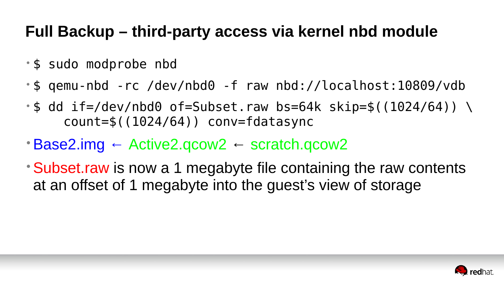### **Full Backup – third-party access via kernel nbd module**

- \$ sudo modprobe nbd
- \$ qemu-nbd -rc /dev/nbd0 -f raw nbd://localhost:10809/vdb
- •\$ dd if=/dev/nbd0 of=Subset.raw bs=64k skip=\$((1024/64)) \  $count=$ \$((1024/64)) conv=fdatasync
- Base2.img  $\leftarrow$  Active2.qcow2  $\leftarrow$  scratch.qcow2
- Subset raw is now a 1 megabyte file containing the raw contents at an offset of 1 megabyte into the guest's view of storage

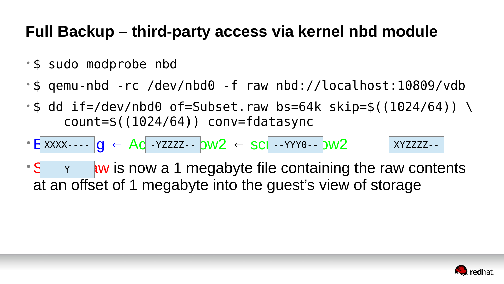#### **Full Backup – third-party access via kernel nbd module**

- \$ sudo modprobe nbd
- \$ qemu-nbd -rc /dev/nbd0 -f raw nbd://localhost:10809/vdb
- •\$ dd if=/dev/nbd0 of=Subset.raw bs=64k skip=\$((1024/64)) \  $count=$ \$((1024/64)) conv=fdatasync
- $\textsf{E}$  xxxx----  $\textsf{Ig}$  ← Ac -Yzzzz--  $\textsf{OW2}$  ← sci --YYY0--  $\textsf{DW2}$  $\begin{array}{ccc} \begin{array}{c} \times \times \times \times \end{array} \end{array}$   $\begin{array}{ccc} \begin{array}{ccc} \text{-} \ \text{N} \ \text{N} \ \text{-} \ \text{N} \ \text{N} \ \text{N} \ \text{N} \ \text{N} \ \text{N} \ \text{N} \ \text{N} \ \text{N} \ \text{N} \ \text{N} \ \text{N} \ \text{N} \ \text{N} \ \text{N} \ \text{N} \ \text{N} \ \text{N} \ \text{N} \ \text{N} \ \text{N} \ \text{N} \ \text{N} \ \text{N} \ \text{N}$
- $\cdot$  S  $\cdot$   $\cdot$  and  $\cdot$   $\cdot$  and  $\cdot$  is now a 1 megabyte file containing the raw contents at an offset of 1 megabyte into the guest's view of storage

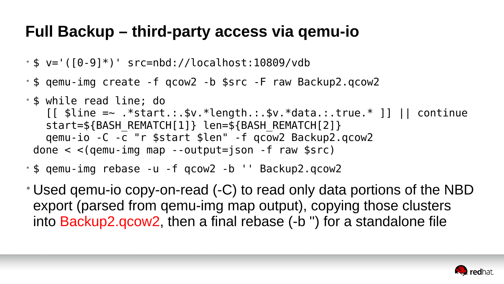- \$ v='([0-9]\*)' src=nbd://localhost:10809/vdb
- \$ qemu-img create -f qcow2 -b \$src -F raw Backup2.qcow2
- \$ while read line; do start=\${BASH\_REMATCH[1]} len=\${BASH\_REMATCH[2]} qemu-io -C -c "r \$start \$len" -f qcow2 Backup2.qcow2 done  $\langle$   $\langle$  (qemu-img map --output=json -f raw \$src)
- \$ qemu-img rebase -u -f qcow2 -b '' Backup2.qcow2
- 

```
[ [ \frac{1}{2} \frac{1}{2} \frac{1}{2} \frac{1}{2} \frac{1}{2} \frac{1}{2} \frac{1}{2} \frac{1}{2} \frac{1}{2} \frac{1}{2} \frac{1}{2} \frac{1}{2} \frac{1}{2} \frac{1}{2} \frac{1}{2} \frac{1}{2} \frac{1}{2} \frac{1}{2} \frac{1}{2} \frac{1}{2} \frac{1}{2} \frac{1
```
• Used qemu-io copy-on-read (-C) to read only data portions of the NBD export (parsed from qemu-img map output), copying those clusters into Backup2.qcow2, then a final rebase (-b '') for a standalone file

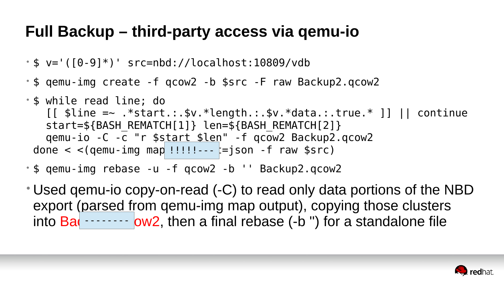• Used qemu-io copy-on-read (-C) to read only data portions of the NBD export (parsed from qemu-img map output), copying those clusters into  $Ba$   $\cdots$   $\cdots$  ow2, then a final rebase (-b ") for a standalone file



- \$ v='([0-9]\*)' src=nbd://localhost:10809/vdb
- \$ qemu-img create -f qcow2 -b \$src -F raw Backup2.qcow2
- \$ while read line; do start=\${BASH\_REMATCH[1]} len=\${BASH\_REMATCH[2]} qemu-io -C -c "r \$start \$len" -f qcow2 Backup2.qcow2 done  $\lt$   $\lt$  (qemu-img map !!!!!!---  $\equiv$ json -f raw \$src)
- \$ qemu-img rebase -u -f qcow2 -b '' Backup2.qcow2
- 

```
[ [ \frac{1}{2} \frac{1}{2} \frac{1}{2} \frac{1}{2} \frac{1}{2} \frac{1}{2} \frac{1}{2} \frac{1}{2} \frac{1}{2} \frac{1}{2} \frac{1}{2} \frac{1}{2} \frac{1}{2} \frac{1}{2} \frac{1}{2} \frac{1}{2} \frac{1}{2} \frac{1}{2} \frac{1}{2} \frac{1}{2} \frac{1}{2} \frac{1
```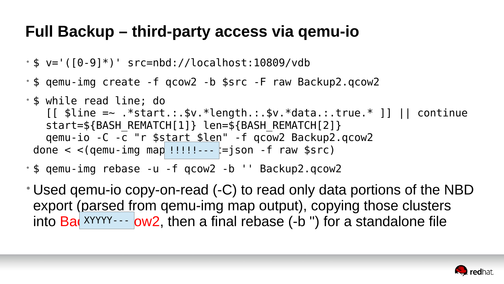• Used qemu-io copy-on-read (-C) to read only data portions of the NBD export (parsed from qemu-img map output), copying those clusters into Ba(XYYYY--- ow2, then a final rebase (-b ") for a standalone file



- \$ v='([0-9]\*)' src=nbd://localhost:10809/vdb
- \$ qemu-img create -f qcow2 -b \$src -F raw Backup2.qcow2
- \$ while read line; do start=\${BASH\_REMATCH[1]} len=\${BASH\_REMATCH[2]} qemu-io -C -c "r \$start \$len" -f qcow2 Backup2.qcow2 done  $\lt$   $\lt$  (qemu-img map !!!!!!---  $\equiv$ json -f raw \$src)
- \$ qemu-img rebase -u -f qcow2 -b '' Backup2.qcow2
- 

```
[ [ \frac{1}{2} \frac{1}{2} \frac{1}{2} \frac{1}{2} \frac{1}{2} \frac{1}{2} \frac{1}{2} \frac{1}{2} \frac{1}{2} \frac{1}{2} \frac{1}{2} \frac{1}{2} \frac{1}{2} \frac{1}{2} \frac{1}{2} \frac{1}{2} \frac{1}{2} \frac{1}{2} \frac{1}{2} \frac{1}{2} \frac{1}{2} \frac{1
```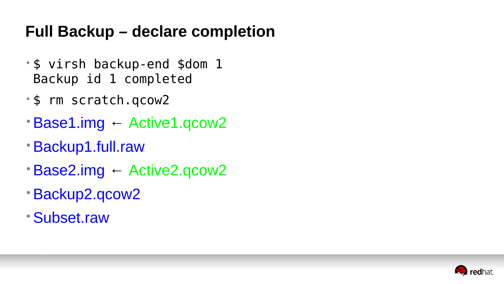#### **Full Backup – declare completion**

- \$ virsh backup-end \$dom 1 Backup id 1 completed
- \$ rm scratch.qcow2
- •Base1.img ← Active1.qcow2
- •Backup1.full.raw
- •Base2.img ← Active2.qcow2
- •Backup2.qcow2
- •Subset.raw

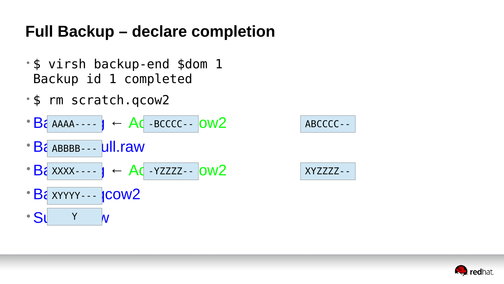### **Full Backup – declare completion**

- \$ virsh backup-end \$dom 1 Backup id 1 completed
- \$ rm scratch.qcow2
- $\bullet$  B<sub>c</sub> AAAA----  $J \leftarrow AC$  -BCCCC--  $OW2$  ABCCCC--
- Ba ABBBB--- Ull.raw
- $B$ a xxxx -  $y \leftarrow Ac$  YZZZZ -  $OW2$  xYZZZZ -
- Ba XYYYY--- ICOW2
- SU Y W



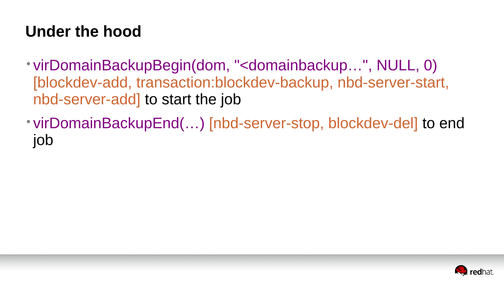#### **Under the hood**

[blockdev-add, transaction:blockdev-backup, nbd-server-start,

- virDomainBackupBegin(dom, "<domainbackup…", NULL, 0) nbd-server-add] to start the job
- job

• virDomainBackupEnd(…) [nbd-server-stop, blockdev-del] to end

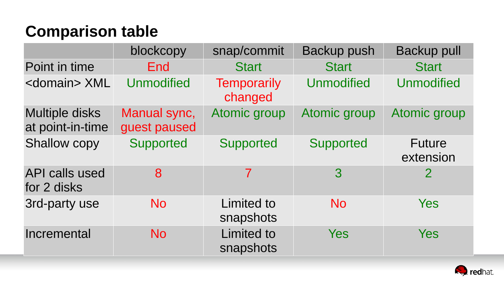### **Comparison table**

|                                           | blockcopy                    | snap/commit                    | <b>Backup push</b> | <b>Backup pull</b>  |
|-------------------------------------------|------------------------------|--------------------------------|--------------------|---------------------|
| Point in time                             | End                          | <b>Start</b>                   | <b>Start</b>       | <b>Start</b>        |
| <domain> XML</domain>                     | Unmodified                   | Temporarily<br>changed         | Unmodified         | Unmodified          |
| <b>Multiple disks</b><br>at point-in-time | Manual sync,<br>guest paused | Atomic group                   | Atomic group       | Atomic group        |
| Shallow copy                              | Supported                    | Supported                      | Supported          | Future<br>extension |
| <b>API calls used</b><br>for 2 disks      | 8                            |                                | 3                  |                     |
| 3rd-party use                             | <b>No</b>                    | Limited to<br>snapshots        | N <sub>O</sub>     | Yes                 |
| Incremental                               | <b>No</b>                    | <b>Limited to</b><br>snapshots | Yes                | Yes                 |

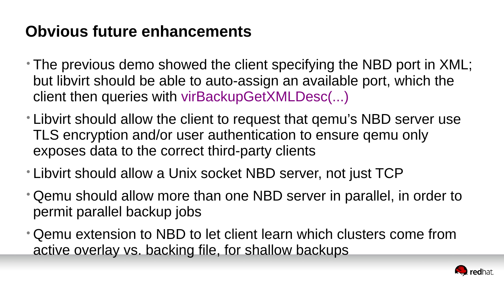#### **Obvious future enhancements**

- The previous demo showed the client specifying the NBD port in XML; but libvirt should be able to auto-assign an available port, which the client then queries with virBackupGetXMLDesc(...)
- Libvirt should allow the client to request that qemu's NBD server use TLS encryption and/or user authentication to ensure qemu only exposes data to the correct third-party clients
- Libvirt should allow a Unix socket NBD server, not just TCP
- Qemu should allow more than one NBD server in parallel, in order to permit parallel backup jobs
- Qemu extension to NBD to let client learn which clusters come from active overlay vs. backing file, for shallow backups

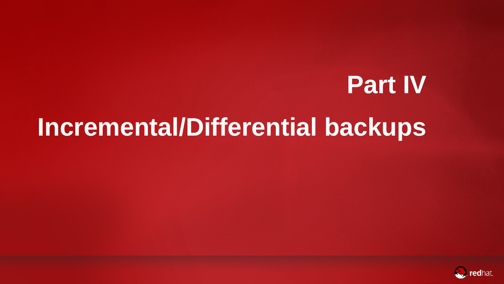## **Part IV Incremental/Differential backups**



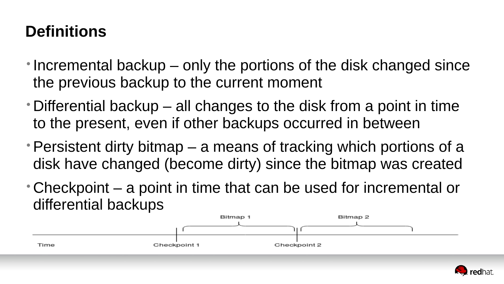### **Definitions**

• Differential backup – all changes to the disk from a point in time

• Persistent dirty bitmap  $-$  a means of tracking which portions of a disk have changed (become dirty) since the bitmap was created

- the previous backup to the current moment
- to the present, even if other backups occurred in between
- 
- differential backups



• Incremental backup – only the portions of the disk changed since

• Checkpoint – a point in time that can be used for incremental or

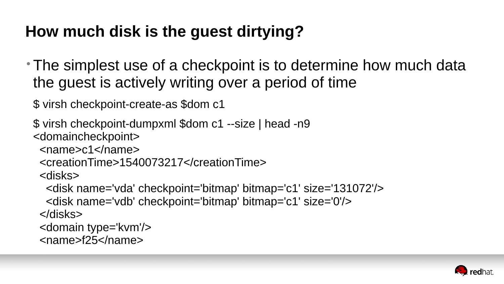## **How much disk is the guest dirtying?**

# • The simplest use of a checkpoint is to determine how much data



- the guest is actively writing over a period of time
- \$ virsh checkpoint-create-as \$dom c1
- \$ virsh checkpoint-dumpxml \$dom c1 --size | head -n9 <domaincheckpoint>
	- <name>c1</name>
	- <creationTime>1540073217</creationTime> <disks>
		- <disk name='vda' checkpoint='bitmap' bitmap='c1' size='131072'/>
	- <disk name='vdb' checkpoint='bitmap' bitmap='c1' size='0'/> </disks>
	- <domain type='kvm'/>
	- <name>f25</name>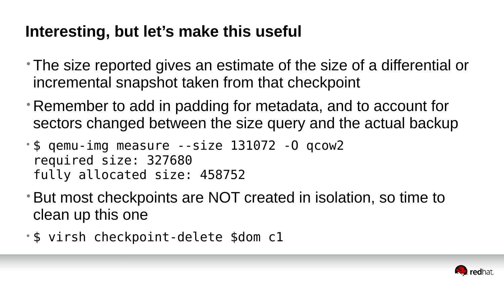### **Interesting, but let's make this useful**

- The size reported gives an estimate of the size of a differential or incremental snapshot taken from that checkpoint
- Remember to add in padding for metadata, and to account for sectors changed between the size query and the actual backup
- \$ qemu-img measure --size 131072 -O qcow2 required size: 327680 fully allocated size: 458752
- •But most checkpoints are NOT created in isolation, so time to clean up this one
- \$ virsh checkpoint-delete \$dom c1

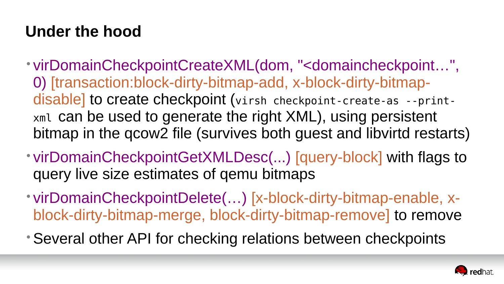#### **Under the hood**

- virDomainCheckpointCreateXML(dom, "<domaincheckpoint…", 0) [transaction:block-dirty-bitmap-add, x-block-dirty-bitmapdisable] to create checkpoint (virsh checkpoint-create-as --printxml can be used to generate the right XML), using persistent bitmap in the qcow2 file (survives both guest and libvirtd restarts)
- virDomainCheckpointGetXMLDesc(...) [query-block] with flags to query live size estimates of qemu bitmaps
- virDomainCheckpointDelete(…) [x-block-dirty-bitmap-enable, xblock-dirty-bitmap-merge, block-dirty-bitmap-remove] to remove
- •Several other API for checking relations between checkpoints

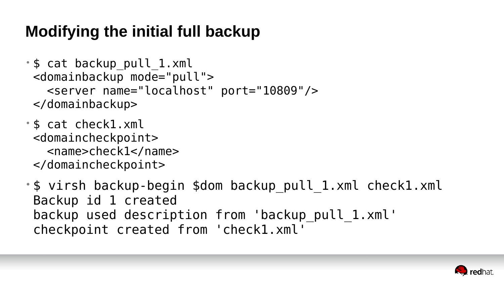### **Modifying the initial full backup**

- \$ cat backup\_pull\_1.xml <domainbackup mode="pull"> <server name="localhost" port="10809"/> </domainbackup>
- \$ cat check1.xml <domaincheckpoint> <name>check1</name> </domaincheckpoint>
- \$ virsh backup-begin \$dom backup\_pull\_1.xml check1.xml Backup id 1 created backup used description from 'backup pull 1.xml' checkpoint created from 'check1.xml'

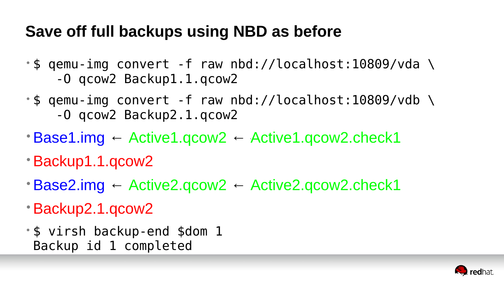### **Save off full backups using NBD as before**

- \$ qemu-img convert -f raw nbd://localhost:10809/vda \ -O qcow2 Backup1.1.qcow2
- \$ qemu-img convert -f raw nbd://localhost:10809/vdb \ -O qcow2 Backup2.1.qcow2
- ` •Base1.img ← Active1.qcow2 ← Active1.qcow2.check1
- •Backup1.1.qcow2
- $\cdot$  Base2.img ← Active2.qcow2 ← Active2.qcow2.check1
- •Backup2.1.qcow2
- \$ virsh backup-end \$dom 1 Backup id 1 completed

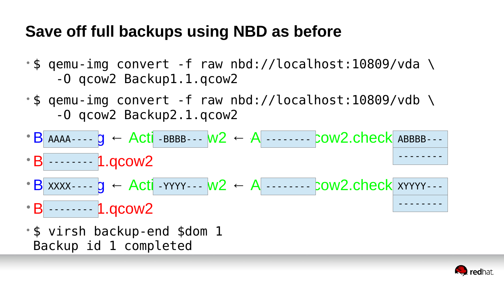### **Save off full backups using NBD as before**

- \$ qemu-img convert -f raw nbd://localhost:10809/vda \ -O qcow2 Backup1.1.qcow2
- \$ qemu-img convert -f raw nbd://localhost:10809/vdb \ -O qcow2 Backup2.1.qcow2
- $\cdot$  B AAAA----  $g \leftarrow$  Acti-BBBB--- W2 ← A ------- COW2.check ABBBB---
- B ------- 1.qcow2 --------
- $\cdot$  B xxxx - g ← Acti YYYY - W2 ← A - - - COW2.check xYYYY - -
- B ------- 1.qcow2 --------
- \$ virsh backup-end \$dom 1 Backup id 1 completed



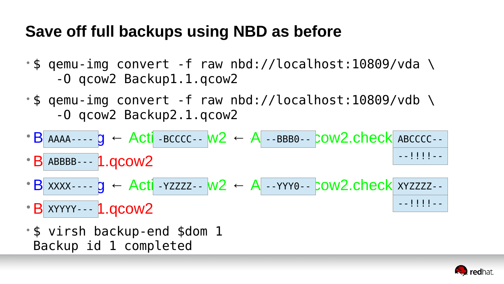### **Save off full backups using NBD as before**

- \$ qemu-img convert -f raw nbd://localhost:10809/vda \ -O qcow2 Backup1.1.qcow2
- \$ qemu-img convert -f raw nbd://localhost:10809/vdb \ -O qcow2 Backup2.1.qcow2
- $\cdot$  B AAAA----  $g \leftarrow$  Acti-BCCCC-- W2 ← A --BBB0-- COW2.check ABCCCC--
- B ABBBB--- 1.qcow2 ABBBB---
- $\cdot$  B xxxx - g ← Acti YZZZZ - W2 ← A - YYY0- COW2.check xYZZZZ -
- B XYYYY--- 1.qcow2 XYYYY---
- \$ virsh backup-end \$dom 1 Backup id 1 completed

` --!!!!--

--!!!!--

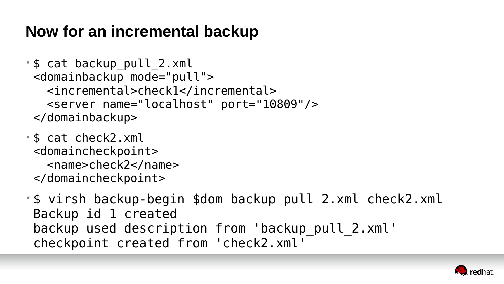#### **Now for an incremental backup**

- \$ cat backup\_pull\_2.xml <domainbackup mode="pull"> <incremental>check1</incremental> <server name="localhost" port="10809"/> </domainbackup>
- \$ cat check2.xml <domaincheckpoint> <name>check2</name> </domaincheckpoint>
- \$ virsh backup-begin \$dom backup\_pull\_2.xml check2.xml Backup id 1 created backup used description from 'backup pull 2.xml' checkpoint created from 'check2.xml'

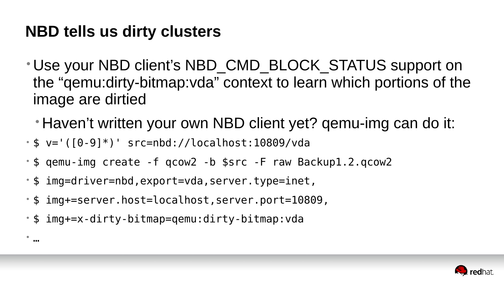#### **NBD tells us dirty clusters**

#### • Use your NBD client's NBD CMD BLOCK STATUS support on the "qemu:dirty-bitmap:vda" context to learn which portions of the

- image are dirtied
	-

### • Haven't written your own NBD client yet? qemu-img can do it:



- \$ v='([0-9]\*)' src=nbd://localhost:10809/vda
- \$ qemu-img create -f qcow2 -b \$src -F raw Backup1.2.qcow2
- \$ img=driver=nbd,export=vda,server.type=inet,
- \$ img+=server.host=localhost,server.port=10809,
- \$ img+=x-dirty-bitmap=qemu:dirty-bitmap:vda

•

…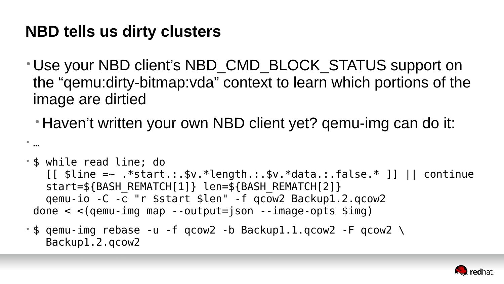#### **NBD tells us dirty clusters**

#### • Use your NBD client's NBD CMD BLOCK STATUS support on the "qemu:dirty-bitmap:vda" context to learn which portions of the

- image are dirtied
	-

#### • Haven't written your own NBD client yet? qemu-img can do it:

 $[$  [  $$line =~ ~.*$start.:$ ,  $$v.*length.:$ ,  $$v.*data.:$   $false.*$  ]] || continue



• …

- \$ while read line; do start=\${BASH\_REMATCH[1]} len=\${BASH\_REMATCH[2]} qemu-io -C -c "r \$start \$len" -f qcow2 Backup1.2.qcow2 done  $\langle$   $\langle$  (qemu-img map --output=json --image-opts \$img)
- \$ qemu-img rebase -u -f qcow2 -b Backup1.1.qcow2 -F qcow2 \ Backup1.2.qcow2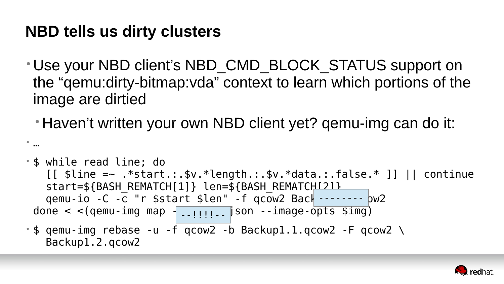#### **NBD tells us dirty clusters**

#### • Use your NBD client's NBD\_CMD\_BLOCK\_STATUS support on the "qemu:dirty-bitmap:vda" context to learn which portions of the

- image are dirtied
	-

#### • Haven't written your own NBD client yet? qemu-img can do it:



•

…

- \$ while read line; do  $[$  [  $\frac{1}{2}$   $\frac{1}{2}$   $\frac{1}{2}$   $\frac{1}{2}$   $\frac{1}{2}$   $\frac{1}{2}$   $\frac{1}{2}$   $\frac{1}{2}$   $\frac{1}{2}$   $\frac{1}{2}$   $\frac{1}{2}$   $\frac{1}{2}$   $\frac{1}{2}$   $\frac{1}{2}$   $\frac{1}{2}$   $\frac{1}{2}$   $\frac{1}{2}$   $\frac{1}{2}$   $\frac{1}{2}$   $\frac{1}{2}$   $\frac{1}{2}$   $\frac{1$ start=\${BASH\_REMATCH[1]} len=\${BASH\_REMATCH[2]} qemu-io -C -c "r \$start \$len" -f qcow2 Back -------- pw2 done  $<$   $<$  (qemu-img map  $\frac{1}{2}$ ........ json --image-opts \$img) --!!!!--
- $\cdot$  \$ qemu-img rebase -u -f qcow2 -b Backup1.1.qcow2 -F qcow2 \ Backup1.2.qcow2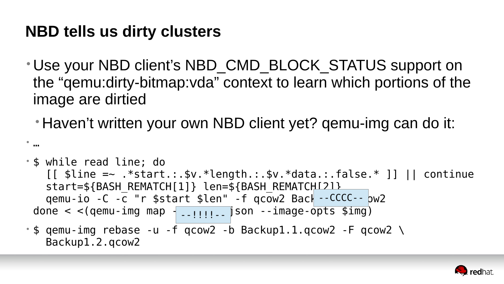### **NBD tells us dirty clusters**

### • Use your NBD client's NBD\_CMD\_BLOCK\_STATUS support on the "qemu:dirty-bitmap:vda" context to learn which portions of the

- image are dirtied
	-

### • Haven't written your own NBD client yet? qemu-img can do it:



•

…

- \$ while read line; do  $[$  [  $\frac{1}{2}$   $\frac{1}{2}$   $\frac{1}{2}$   $\frac{1}{2}$   $\frac{1}{2}$   $\frac{1}{2}$   $\frac{1}{2}$   $\frac{1}{2}$   $\frac{1}{2}$   $\frac{1}{2}$   $\frac{1}{2}$   $\frac{1}{2}$   $\frac{1}{2}$   $\frac{1}{2}$   $\frac{1}{2}$   $\frac{1}{2}$   $\frac{1}{2}$   $\frac{1}{2}$   $\frac{1}{2}$   $\frac{1}{2}$   $\frac{1}{2}$   $\frac{1$ start=\${BASH\_REMATCH[1]} len=\${BASH\_REMATCH[2]} qemu-io -C -c "r \$start \$len" -f qcow2 Back --CCCC-- pw2 done  $<$   $<$  (qemu-img map  $\frac{1}{2}$ ........ json --image-opts \$img) --!!!!--
- $\cdot$  \$ qemu-img rebase -u -f qcow2 -b Backup1.1.qcow2 -F qcow2 \ Backup1.2.qcow2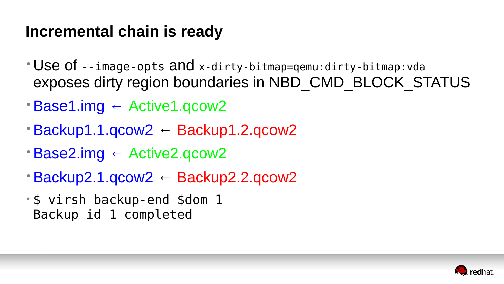### **Incremental chain is ready**

# exposes dirty region boundaries in NBD\_CMD\_BLOCK\_STATUS



- Use of --image-opts and x-dirty-bitmap=qemu:dirty-bitmap:vda
- •Base1.img ← Active1.qcow2
- •Backup1.1.qcow2 ← Backup1.2.qcow2
- •Base2.img ← Active2.qcow2
- •Backup2.1.qcow2 ← Backup2.2.qcow2
- \$ virsh backup-end \$dom 1 Backup id 1 completed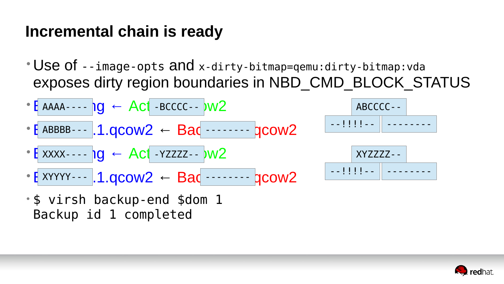### Incremental chain is ready

- Use of --image-opts and x-dirty-bitmap=qemu:dirty-bitmap:vda
- $\cdot$  [AAAA----  $\log$   $\leftarrow$  Act -BCCCC--  $\log$
- $\cdot$  [ ABBBB---  $\vert$  1.0 COW2  $\leftarrow$  Bac ------- gCOW2
- $\bullet$  E XXXX----  $\log$   $\leftarrow$  Act -YZZZZ--  $)w2$
- $\bullet$  E XYYYY -  $\blacksquare$  1.000W2  $\leftarrow$  Bad - - - -
- · \$ virsh backup-end \$dom 1 Backup id 1 completed

# exposes dirty region boundaries in NBD CMD BLOCK STATUS



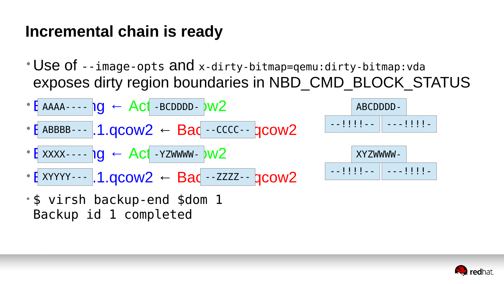### Incremental chain is ready

- Use of --image-opts and x-dirty-bitmap=qemu:dirty-bitmap:vda
- $\cdot$  [ AAAA----  $\log$   $\leftarrow$  Act -BCDDDD-  $\frac{1}{2}$
- $\cdot$  [ ABBBB---  $\vert$  1.0 COW2  $\leftarrow$  Bac --CCCC-- gCOW2
- $\bullet$  E XXXX----  $\log$   $\leftarrow$  Act -YZWWWW-  $)w2$
- $\cdot$  E XYYYY---  $1.0$ COW2  $\leftarrow$  Bac --ZZZZ-- gCOW2
- · \$ virsh backup-end \$dom 1 Backup id 1 completed

# exposes dirty region boundaries in NBD CMD BLOCK STATUS



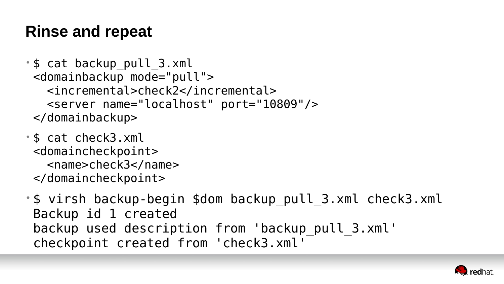### **Rinse and repeat**

- \$ cat backup\_pull\_3.xml <domainbackup mode="pull"> <incremental>check2</incremental> <server name="localhost" port="10809"/> </domainbackup>
- \$ cat check3.xml <domaincheckpoint> <name>check3</name> </domaincheckpoint>
- \$ virsh backup-begin \$dom backup\_pull\_3.xml check3.xml Backup id 1 created backup used description from 'backup pull 3.xml' checkpoint created from 'check3.xml'

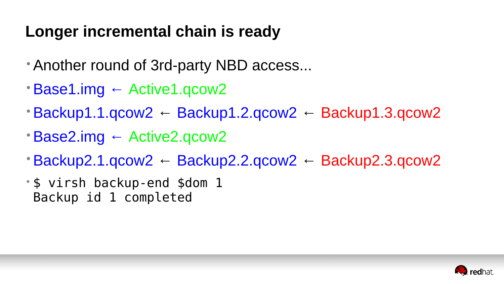### **Longer incremental chain is ready**

- •Another round of 3rd-party NBD access...
- •Base1.img ← Active1.qcow2
- $\cdot$ Backup1.1.qcow2 ← Backup1.2.qcow2 ← Backup1.3.qcow2
- •Base2.img ← Active2.qcow2
- $\cdot$ Backup2.1.qcow2 ← Backup2.2.qcow2 ← Backup2.3.qcow2
- \$ virsh backup-end \$dom 1 Backup id 1 completed



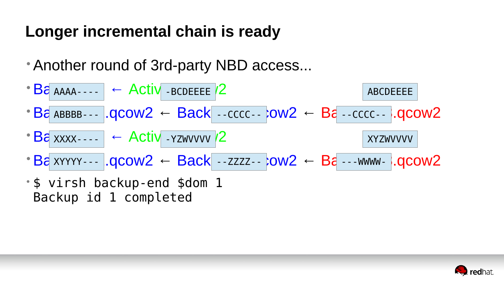### Longer incremental chain is ready

- Another round of 3rd-party NBD access...
- $\cdot$  B<sup>2</sup> AAAA - -  $\cdot$  + Activ BCDEEEE /2
- $B\hat{\sigma}$  ABBBB--- .QCOW2  $\leftarrow$  Back -cccc- : : ow2  $\leftarrow$  B $\hat{\sigma}$  -cccc-- : .QCOW2
- $\cdot$  Ba xxxx -  $\cdot$  Activ YZWVVVV /2
- $\cdot$  Ba xyyyy - . QCOW2  $\leftarrow$  Back --zzzz-- : ow2  $\leftarrow$  Ba ---www- : . qcow2
- · \$ virsh backup-end \$dom 1 Backup id 1 completed

**ABCDEEEE XYZWVVVV** 

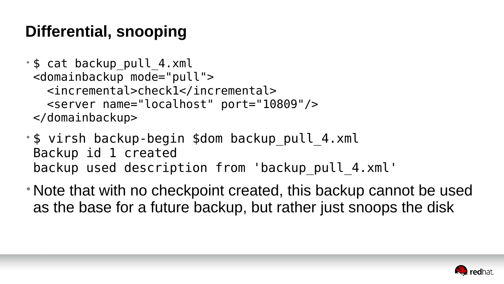## **Differential, snooping**

- \$ cat backup\_pull\_4.xml <domainbackup mode="pull"> <incremental>check1</incremental> <server name="localhost" port="10809"/> </domainbackup>
- \$ virsh backup-begin \$dom backup\_pull\_4.xml Backup id 1 created backup used description from 'backup pull 4.xml'
- Note that with no checkpoint created, this backup cannot be used as the base for a future backup, but rather just snoops the disk

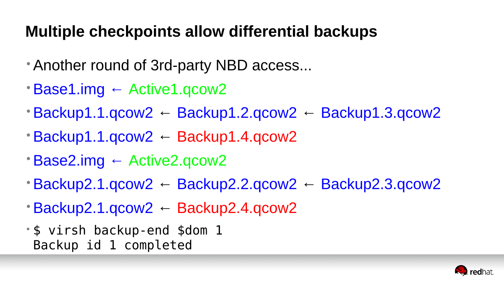# **Multiple checkpoints allow differential backups**

- •Another round of 3rd-party NBD access...
- Base1.img ← Active1.qcow2
- $\cdot$ Backup1.1.qcow2 ← Backup1.2.qcow2 ← Backup1.3.qcow2
- Backup1.1.qcow2 ← Backup1.4.qcow2
- •Base2.img ← Active2.qcow2
- $\cdot$ Backup2.1.qcow2 ← Backup2.2.qcow2 ← Backup2.3.qcow2
- •Backup2.1.qcow2 ← Backup2.4.qcow2
- \$ virsh backup-end \$dom 1 Backup id 1 completed

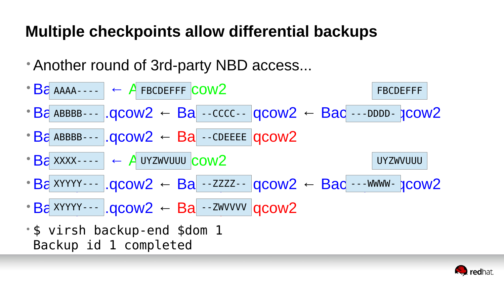# **Multiple checkpoints allow differential backups**

- •Another round of 3rd-party NBD access... • Ba AAAA---- | ← A FBCDEFFF COW2 • Backuptup 1.qcow2 ← Backupt 1.cccc -  $|q\text{conv2} \leftarrow \text{Bac}$  --DDDD- $|q\text{conv2}|$  $\cdot$  Ba ABBBB---  $|qcow2 \leftarrow Ba|$  - CDEEEE  $|qcow2 \rangle$ ABBBB--- --CCCC-- ---DDDD- ABBBB--- COCOW2 ← Ba --CDEEEE FBCDEFFF
- Ba xxxx - - | ← A UYZWVUUU COW2 • Backupty - -  $|qccw2 - Ba - 2zz - qccw2 - Ba - 3.4xw - qccw2|$ XXXX---- UYZWVUUU  $XYYYY-- \cdot$   $OCOW2 \leftarrow$   $Ba$   $\cdot$  -ZZZZ--  $OCOW2 \leftarrow$   $Bac$  ---WWWV-UYZWVUUU
- •Backup2.1.qcow2 ← Backup2.4.qcow2  $XYYYY-- OCON2 \leftarrow$   $Ba$  --ZWVVVV
- \$ virsh backup-end \$dom 1 Backup id 1 completed

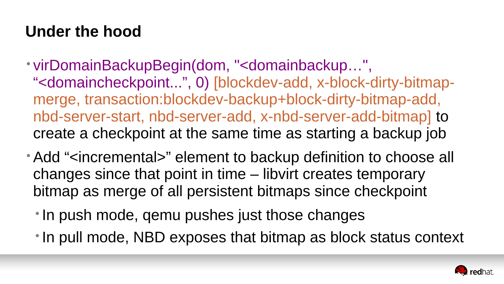## **Under the hood**

- virDomainBackupBegin(dom, "<domainbackup…", "<domaincheckpoint...", 0) [blockdev-add, x-block-dirty-bitmapmerge, transaction:blockdev-backup+block-dirty-bitmap-add, nbd-server-start, nbd-server-add, x-nbd-server-add-bitmap] to create a checkpoint at the same time as starting a backup job
- Add "<incremental>" element to backup definition to choose all changes since that point in time – libvirt creates temporary bitmap as merge of all persistent bitmaps since checkpoint
	- In push mode, qemu pushes just those changes
	- In pull mode, NBD exposes that bitmap as block status context

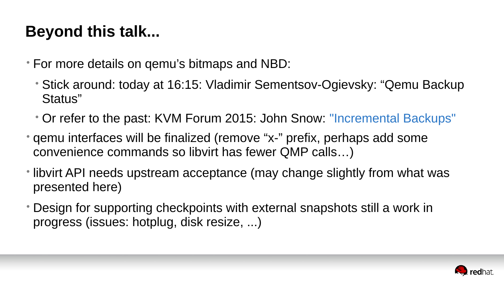# **Beyond this talk...**

- For more details on qemu's bitmaps and NBD:
	- Stick around: today at 16:15: Vladimir Sementsov-Ogievsky: "Qemu Backup Status"
	- Or refer to the past: KVM Forum 2015: John Snow: "Incremental Backups"
- qemu interfaces will be finalized (remove "x-" prefix, perhaps add some convenience commands so libvirt has fewer QMP calls…)
- libvirt API needs upstream acceptance (may change slightly from what was presented here)
- Design for supporting checkpoints with external snapshots still a work in progress (issues: hotplug, disk resize, ...)